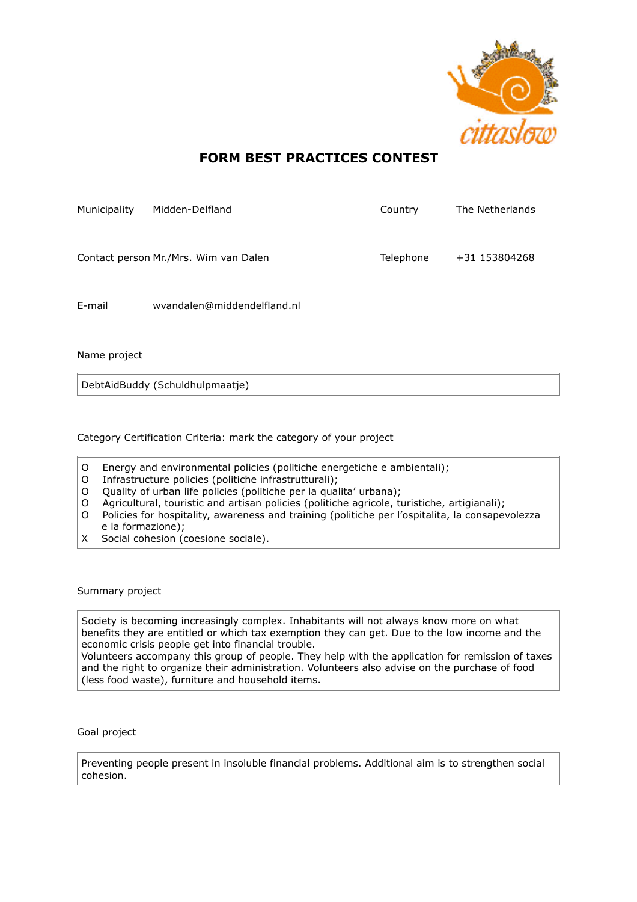

## **FORM BEST PRACTICES CONTEST**

| Municipality | Midden-Delfland                          | Country   | The Netherlands |
|--------------|------------------------------------------|-----------|-----------------|
|              | Contact person Mr. A Frank Wim van Dalen | Telephone | +31 153804268   |
| E-mail       | wyandalen@middendelfland.nl              |           |                 |

Name project

DebtAidBuddy (Schuldhulpmaatje)

Category Certification Criteria: mark the category of your project

- O Energy and environmental policies (politiche energetiche e ambientali);
- O Infrastructure policies (politiche infrastrutturali);
- O Quality of urban life policies (politiche per la qualita' urbana);
- O Agricultural, touristic and artisan policies (politiche agricole, turistiche, artigianali);
- O Policies for hospitality, awareness and training (politiche per l'ospitalita, la consapevolezza e la formazione);
- X Social cohesion (coesione sociale).

Summary project

Society is becoming increasingly complex. Inhabitants will not always know more on what benefits they are entitled or which tax exemption they can get. Due to the low income and the economic crisis people get into financial trouble.

Volunteers accompany this group of people. They help with the application for remission of taxes and the right to organize their administration. Volunteers also advise on the purchase of food (less food waste), furniture and household items.

Goal project

Preventing people present in insoluble financial problems. Additional aim is to strengthen social cohesion.